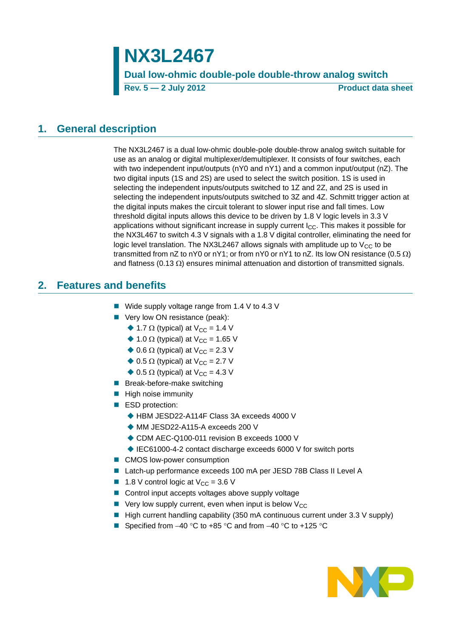**NX3L2467 Dual low-ohmic double-pole double-throw analog switch Rev. 5 — 2 July 2012 Product data sheet**

### <span id="page-0-0"></span>**1. General description**

The NX3L2467 is a dual low-ohmic double-pole double-throw analog switch suitable for use as an analog or digital multiplexer/demultiplexer. It consists of four switches, each with two independent input/outputs (nY0 and nY1) and a common input/output (nZ). The two digital inputs (1S and 2S) are used to select the switch position. 1S is used in selecting the independent inputs/outputs switched to 1Z and 2Z, and 2S is used in selecting the independent inputs/outputs switched to 3Z and 4Z. Schmitt trigger action at the digital inputs makes the circuit tolerant to slower input rise and fall times. Low threshold digital inputs allows this device to be driven by 1.8 V logic levels in 3.3 V applications without significant increase in supply current  $I_{\rm CC}$ . This makes it possible for the NX3L467 to switch 4.3 V signals with a 1.8 V digital controller, eliminating the need for logic level translation. The NX3L2467 allows signals with amplitude up to  $V_{CC}$  to be transmitted from nZ to nY0 or nY1; or from nY0 or nY1 to nZ. Its low ON resistance (0.5  $\Omega$ ) and flatness  $(0.13 \Omega)$  ensures minimal attenuation and distortion of transmitted signals.

## <span id="page-0-1"></span>**2. Features and benefits**

- Wide supply voltage range from 1.4 V to 4.3 V
- Very low ON resistance (peak):
	- $\triangle$  1.7  $\Omega$  (typical) at V<sub>CC</sub> = 1.4 V
		- $\triangle$  1.0  $\Omega$  (typical) at V<sub>CC</sub> = 1.65 V
		- $\triangle$  0.6  $\Omega$  (typical) at V<sub>CC</sub> = 2.3 V
		- $\triangle$  0.5  $\Omega$  (typical) at V<sub>CC</sub> = 2.7 V
		- $\bullet$  0.5  $\Omega$  (typical) at V<sub>CC</sub> = 4.3 V
- **Break-before-make switching**
- $\blacksquare$  High noise immunity
- ESD protection:
	- ◆ HBM JESD22-A114F Class 3A exceeds 4000 V
	- ◆ MM JESD22-A115-A exceeds 200 V
	- ◆ CDM AEC-Q100-011 revision B exceeds 1000 V
	- ◆ IEC61000-4-2 contact discharge exceeds 6000 V for switch ports
- CMOS low-power consumption
- Latch-up performance exceeds 100 mA per JESD 78B Class II Level A
- **1.8** V control logic at  $V_{CC} = 3.6$  V
- Control input accepts voltages above supply voltage
- $\blacksquare$  Very low supply current, even when input is below V<sub>CC</sub>
- $\blacksquare$  High current handling capability (350 mA continuous current under 3.3 V supply)
- Specified from  $-40$  °C to  $+85$  °C and from  $-40$  °C to  $+125$  °C

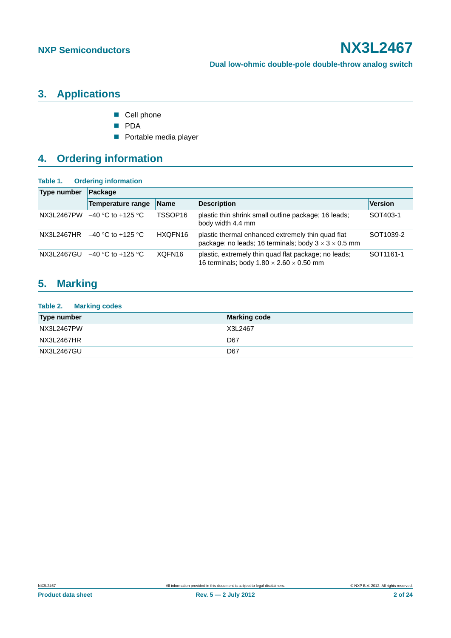# <span id="page-1-0"></span>**3. Applications**

- Cell phone
- **PDA**
- **Portable media player**

# <span id="page-1-1"></span>**4. Ordering information**

#### **Table 1. Ordering information**

| <b>Type number</b> | Package             |                     |                                                                                                                       |                       |  |  |  |  |  |
|--------------------|---------------------|---------------------|-----------------------------------------------------------------------------------------------------------------------|-----------------------|--|--|--|--|--|
|                    | Temperature range   | <b>Name</b>         | <b>Description</b>                                                                                                    | <b>Version</b>        |  |  |  |  |  |
| NX3L2467PW         | $-40$ °C to +125 °C | TSSOP <sub>16</sub> | plastic thin shrink small outline package; 16 leads;<br>body width 4.4 mm                                             | SOT403-1              |  |  |  |  |  |
| NX3L2467HR         | $-40$ °C to +125 °C | HXQFN16             | plastic thermal enhanced extremely thin quad flat<br>package; no leads; 16 terminals; body $3 \times 3 \times 0.5$ mm | SOT <sub>1039-2</sub> |  |  |  |  |  |
| NX3L2467GU         | $-40$ °C to +125 °C | XQFN <sub>16</sub>  | plastic, extremely thin quad flat package; no leads;<br>16 terminals; body $1.80 \times 2.60 \times 0.50$ mm          | SOT <sub>1161-1</sub> |  |  |  |  |  |

# <span id="page-1-2"></span>**5. Marking**

| <b>Table 2. Marking codes</b> |                     |
|-------------------------------|---------------------|
| <b>Type number</b>            | <b>Marking code</b> |
| NX3L2467PW                    | X3L2467             |
| NX3L2467HR                    | D67                 |
| NX3L2467GU                    | D67                 |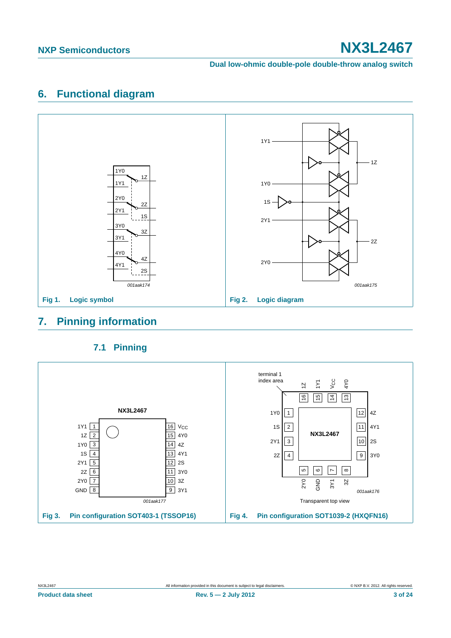#### **Dual low-ohmic double-pole double-throw analog switch**

# <span id="page-2-0"></span>**6. Functional diagram**



## <span id="page-2-1"></span>**7. Pinning information**

<span id="page-2-2"></span>

## **7.1 Pinning**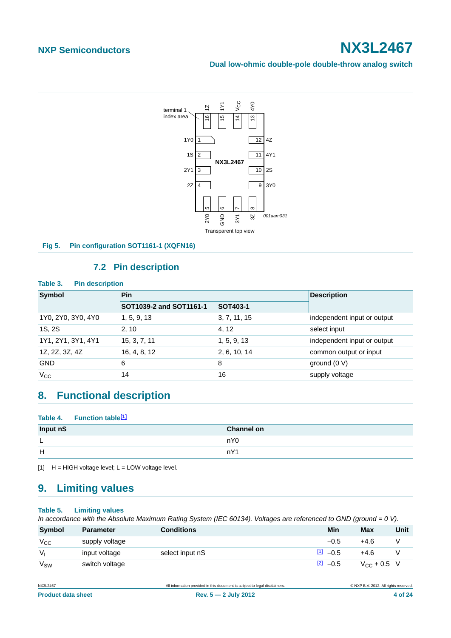**Dual low-ohmic double-pole double-throw analog switch**



### **7.2 Pin description**

<span id="page-3-1"></span>

| <b>Symbol</b>      | Pin                                        |              |                             |  |
|--------------------|--------------------------------------------|--------------|-----------------------------|--|
|                    | SOT1039-2 and SOT1161-1<br><b>SOT403-1</b> |              |                             |  |
| 1Y0, 2Y0, 3Y0, 4Y0 | 1, 5, 9, 13                                | 3, 7, 11, 15 | independent input or output |  |
| 1S, 2S             | 2, 10                                      | 4, 12        | select input                |  |
| 1Y1, 2Y1, 3Y1, 4Y1 | 15, 3, 7, 11                               | 1, 5, 9, 13  | independent input or output |  |
| 1Z, 2Z, 3Z, 4Z     | 16, 4, 8, 12                               | 2, 6, 10, 14 | common output or input      |  |
| <b>GND</b>         | 6                                          | 8            | ground $(0 V)$              |  |
| $V_{\rm CC}$       | 14                                         | 16           | supply voltage              |  |

# <span id="page-3-2"></span>**8. Functional description**

#### Table 4. Function table<sup>[1]</sup>

| Input nS | <b>Channel on</b> |
|----------|-------------------|
| L,       | nY <sub>0</sub>   |
| H        | nY1               |

<span id="page-3-0"></span> $[1]$  H = HIGH voltage level; L = LOW voltage level.

# <span id="page-3-3"></span>**9. Limiting values**

#### **Table 5. Limiting values**

*In accordance with the Absolute Maximum Rating System (IEC 60134). Voltages are referenced to GND (ground = 0 V).*

| Symbol          | <b>Parameter</b> | <b>Conditions</b> | Min                  | <b>Max</b>       | Unit |
|-----------------|------------------|-------------------|----------------------|------------------|------|
| $V_{\rm CC}$    | supply voltage   |                   | $-0.5$               | $+4.6$           |      |
| $V_{1}$         | input voltage    | select input nS   | $\frac{11}{2}$ -0.5  | $+4.6$           |      |
| $V_{\text{SW}}$ | switch voltage   |                   | $\frac{[2]}{2}$ -0.5 | $V_{CC}$ + 0.5 V |      |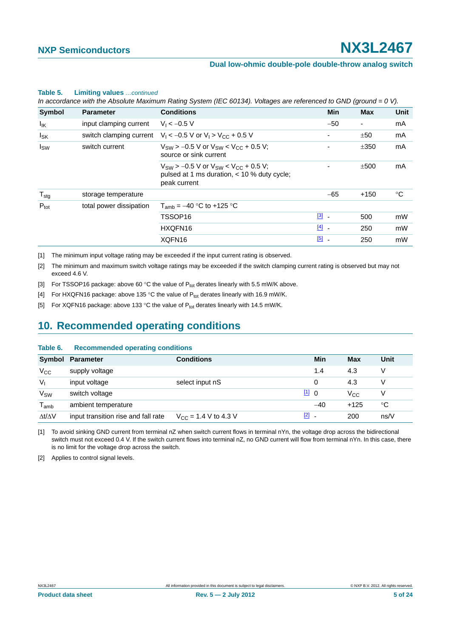#### **Table 5. Limiting values** *…continued*

*In accordance with the Absolute Maximum Rating System (IEC 60134). Voltages are referenced to GND (ground = 0 V).*

| Symbol           | <b>Parameter</b>        | <b>Conditions</b>                                                                                                  | <b>Min</b>               | <b>Max</b>               | <b>Unit</b> |
|------------------|-------------------------|--------------------------------------------------------------------------------------------------------------------|--------------------------|--------------------------|-------------|
| lικ              | input clamping current  | $V_1 < -0.5 V$                                                                                                     | $-50$                    | $\overline{\phantom{a}}$ | mA          |
| $I_{SK}$         |                         | switch clamping current $V_1 < -0.5$ V or $V_1 > V_{CC} + 0.5$ V                                                   | $\overline{\phantom{0}}$ | ±50                      | mA          |
| $I_{SW}$         | switch current          | $V_{SW}$ > -0.5 V or $V_{SW}$ < $V_{CC}$ + 0.5 V;<br>source or sink current                                        |                          | ±350                     | mA          |
|                  |                         | $V_{SW}$ > -0.5 V or $V_{SW}$ < $V_{CC}$ + 0.5 V;<br>pulsed at 1 ms duration, $<$ 10 % duty cycle;<br>peak current |                          | ±500                     | mA          |
| $T_{\text{stg}}$ | storage temperature     |                                                                                                                    | $-65$                    | $+150$                   | $^{\circ}C$ |
| $P_{\text{tot}}$ | total power dissipation | $T_{amb} = -40$ °C to +125 °C                                                                                      |                          |                          |             |
|                  |                         | TSSOP <sub>16</sub>                                                                                                | $\boxed{3}$ -            | 500                      | mW          |
|                  |                         | HXQFN16                                                                                                            | $\boxed{4}$ -            | 250                      | mW          |
|                  |                         | XQFN16                                                                                                             | $\boxed{5}$ .            | 250                      | mW          |
|                  |                         |                                                                                                                    |                          |                          |             |

<span id="page-4-0"></span>[1] The minimum input voltage rating may be exceeded if the input current rating is observed.

<span id="page-4-1"></span>[2] The minimum and maximum switch voltage ratings may be exceeded if the switch clamping current rating is observed but may not exceed 4.6 V.

<span id="page-4-2"></span>[3] For TSSOP16 package: above 60 °C the value of  $P_{tot}$  derates linearly with 5.5 mW/K above.

<span id="page-4-3"></span>[4] For HXQFN16 package: above 135 °C the value of  $P_{tot}$  derates linearly with 16.9 mW/K.

<span id="page-4-4"></span>[5] For XQFN16 package: above 133 °C the value of  $P_{tot}$  derates linearly with 14.5 mW/K.

## <span id="page-4-7"></span>**10. Recommended operating conditions**

#### **Table 6. Recommended operating conditions**

|                     | Symbol Parameter                    | <b>Conditions</b>                        | Min                               | <b>Max</b>   | Unit |
|---------------------|-------------------------------------|------------------------------------------|-----------------------------------|--------------|------|
| $V_{\rm CC}$        | supply voltage                      |                                          | 1.4                               | 4.3          |      |
| $V_{I}$             | input voltage                       | select input nS                          | 0                                 | 4.3          |      |
| V <sub>SW</sub>     | switch voltage                      |                                          | $\mathbf{u}$ 0                    | $V_{\rm CC}$ |      |
| $T_{\mathsf{amb}}$  | ambient temperature                 |                                          | $-40$                             | $+125$       | °C   |
| $\Delta t/\Delta V$ | input transition rise and fall rate | $V_{\text{CC}} = 1.4 \text{ V}$ to 4.3 V | $[2]$<br>$\overline{\phantom{a}}$ | 200          | ns/V |

<span id="page-4-5"></span>[1] To avoid sinking GND current from terminal nZ when switch current flows in terminal nYn, the voltage drop across the bidirectional switch must not exceed 0.4 V. If the switch current flows into terminal nZ, no GND current will flow from terminal nYn. In this case, there is no limit for the voltage drop across the switch.

<span id="page-4-6"></span>[2] Applies to control signal levels.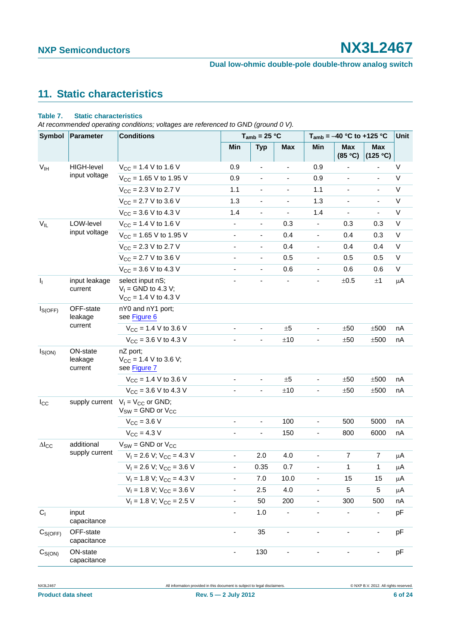### **Dual low-ohmic double-pole double-throw analog switch**

# <span id="page-5-0"></span>**11. Static characteristics**

### **Table 7. Static characteristics**

*At recommended operating conditions; voltages are referenced to GND (ground 0 V).*

| Symbol                     | Parameter                      | <b>Conditions</b>                                                      |                          | $T_{amb}$ = 25 °C        |                          | $T_{amb} = -40$ °C to +125 °C |                          |                          | Unit        |
|----------------------------|--------------------------------|------------------------------------------------------------------------|--------------------------|--------------------------|--------------------------|-------------------------------|--------------------------|--------------------------|-------------|
|                            |                                |                                                                        | Min                      | <b>Typ</b>               | <b>Max</b>               | Min                           | <b>Max</b><br>(85 °C)    | <b>Max</b><br>(125 °C)   |             |
| V <sub>IH</sub>            | <b>HIGH-level</b>              | $V_{CC}$ = 1.4 V to 1.6 V                                              | 0.9                      | $\blacksquare$           |                          | 0.9                           |                          | ٠                        | V           |
|                            | input voltage                  | $V_{CC}$ = 1.65 V to 1.95 V                                            | 0.9                      | $\blacksquare$           | $\overline{\phantom{0}}$ | 0.9                           | $\overline{\phantom{a}}$ | $\overline{\phantom{a}}$ | V           |
|                            |                                | $V_{CC}$ = 2.3 V to 2.7 V                                              | 1.1                      | $\overline{\phantom{a}}$ |                          | 1.1                           |                          | $\blacksquare$           | $\mathsf V$ |
|                            |                                | $V_{CC}$ = 2.7 V to 3.6 V                                              | 1.3                      | $\blacksquare$           | $\overline{\phantom{0}}$ | 1.3                           | $\overline{\phantom{a}}$ | $\overline{\phantom{a}}$ | V           |
|                            |                                | $V_{CC}$ = 3.6 V to 4.3 V                                              | 1.4                      | $\overline{\phantom{a}}$ | $\overline{\phantom{0}}$ | 1.4                           |                          | $\overline{\phantom{a}}$ | $\mathsf V$ |
| $\mathsf{V}_{\mathsf{IL}}$ | LOW-level                      | $V_{CC}$ = 1.4 V to 1.6 V                                              | $\blacksquare$           | $\overline{\phantom{a}}$ | 0.3                      | $\overline{\phantom{a}}$      | 0.3                      | 0.3                      | $\mathsf V$ |
|                            | input voltage                  | $V_{CC}$ = 1.65 V to 1.95 V                                            | $\overline{\phantom{a}}$ | $\overline{\phantom{a}}$ | 0.4                      |                               | 0.4                      | 0.3                      | $\mathsf V$ |
|                            |                                | $V_{CC}$ = 2.3 V to 2.7 V                                              | $\overline{\phantom{a}}$ | $\overline{\phantom{a}}$ | 0.4                      | $\blacksquare$                | 0.4                      | 0.4                      | V           |
|                            |                                | $V_{CC}$ = 2.7 V to 3.6 V                                              | $\overline{\phantom{a}}$ | $\overline{\phantom{a}}$ | 0.5                      | $\overline{\phantom{a}}$      | 0.5                      | 0.5                      | V           |
|                            |                                | $V_{CC}$ = 3.6 V to 4.3 V                                              | $\overline{\phantom{a}}$ | $\blacksquare$           | 0.6                      | $\blacksquare$                | 0.6                      | 0.6                      | V           |
| $\mathbf{l}_1$             | input leakage<br>current       | select input nS;<br>$V_1$ = GND to 4.3 V;<br>$V_{CC}$ = 1.4 V to 4.3 V |                          |                          |                          |                               | ±0.5                     | $\pm 1$                  | μA          |
| $I_{S(OFF)}$               | OFF-state<br>leakage           | nY0 and nY1 port;<br>see Figure 6                                      |                          |                          |                          |                               |                          |                          |             |
|                            | current                        | $V_{CC}$ = 1.4 V to 3.6 V                                              | $\overline{\phantom{a}}$ | $\overline{\phantom{a}}$ | ±5                       | $\overline{\phantom{a}}$      | ±50                      | $\pm 500$                | nA          |
|                            |                                | $V_{CC}$ = 3.6 V to 4.3 V                                              | $\overline{\phantom{a}}$ | $\blacksquare$           | ±10                      | -                             | ±50                      | ±500                     | nA          |
| $I_{S(ON)}$                | ON-state<br>leakage<br>current | nZ port;<br>$V_{CC}$ = 1.4 V to 3.6 V;<br>see Figure 7                 |                          |                          |                          |                               |                          |                          |             |
|                            |                                | $V_{CC}$ = 1.4 V to 3.6 V                                              | $\blacksquare$           | $\blacksquare$           | ±5                       | $\blacksquare$                | ±50                      | ±500                     | nA          |
|                            |                                | $V_{\text{CC}} = 3.6 \text{ V}$ to 4.3 V                               | ä,                       | $\blacksquare$           | ±10                      |                               | ±50                      | ±500                     | nA          |
| $I_{\rm CC}$               | supply current                 | $V_1 = V_{CC}$ or GND;<br>$V_{SW}$ = GND or $V_{CC}$                   |                          |                          |                          |                               |                          |                          |             |
|                            |                                | $V_{\text{CC}} = 3.6 V$                                                | $\overline{\phantom{a}}$ | $\overline{\phantom{a}}$ | 100                      | $\overline{\phantom{a}}$      | 500                      | 5000                     | nA          |
|                            |                                | $V_{CC} = 4.3 V$                                                       | $\overline{\phantom{a}}$ | $\overline{\phantom{a}}$ | 150                      | $\overline{\phantom{a}}$      | 800                      | 6000                     | nA          |
| $\Delta I_{CC}$            | additional                     | $V_{SW}$ = GND or $V_{CC}$                                             |                          |                          |                          |                               |                          |                          |             |
|                            | supply current                 | $V_1 = 2.6 V$ ; $V_{CC} = 4.3 V$                                       | $\overline{\phantom{a}}$ | 2.0                      | 4.0                      | $\overline{\phantom{0}}$      | $\overline{7}$           | $\overline{7}$           | μA          |
|                            |                                | $V_1 = 2.6 V; V_{CC} = 3.6 V$                                          | $\overline{\phantom{a}}$ | 0.35                     | 0.7                      | ٠                             | 1                        | 1                        | μA          |
|                            |                                | $V_1 = 1.8 V$ ; $V_{CC} = 4.3 V$                                       | $\blacksquare$           | 7.0                      | 10.0                     | $\overline{\phantom{0}}$      | 15                       | 15                       | $\mu$ A     |
|                            |                                | $V_1 = 1.8 V$ ; $V_{CC} = 3.6 V$                                       | $\blacksquare$           | 2.5                      | 4.0                      |                               | 5                        | 5                        | μA          |
|                            |                                | $V_1 = 1.8 V$ ; $V_{CC} = 2.5 V$                                       | $\overline{\phantom{a}}$ | 50                       | 200                      | $\blacksquare$                | 300                      | 500                      | nA          |
| C <sub>1</sub>             | input<br>capacitance           |                                                                        | $\overline{\phantom{a}}$ | 1.0                      |                          | ٠                             |                          | $\overline{\phantom{a}}$ | pF          |
| $C_{S(OFF)}$               | OFF-state<br>capacitance       |                                                                        | $\blacksquare$           | 35                       |                          | $\overline{\phantom{a}}$      | $\overline{\phantom{a}}$ | $\overline{\phantom{a}}$ | pF          |
| $C_{S(ON)}$                | ON-state<br>capacitance        |                                                                        | $\blacksquare$           | 130                      | $\overline{\phantom{0}}$ |                               |                          | $\overline{\phantom{a}}$ | pF          |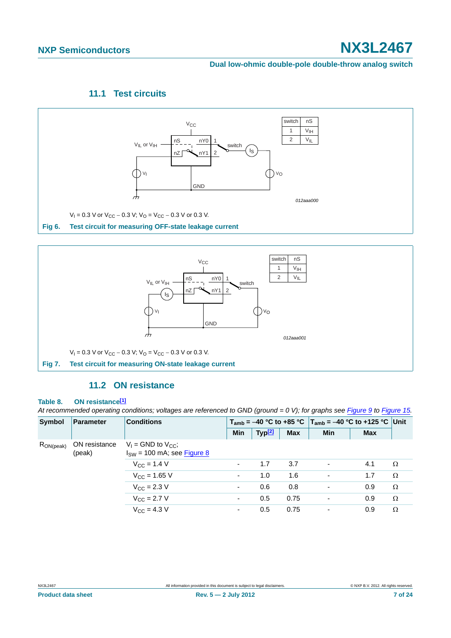#### **Dual low-ohmic double-pole double-throw analog switch**

### **11.1 Test circuits**

<span id="page-6-2"></span>

<span id="page-6-0"></span>

### **11.2 ON resistance**

#### <span id="page-6-3"></span><span id="page-6-1"></span>**Table 8. ON resistanc[e\[1\]](#page-7-0)**

*At recommended operating conditions; voltages are referenced to GND (ground = 0 V); for graphs see [Figure 9](#page-8-0) to [Figure 15.](#page-10-0)*

| Symbol          | <b>Parameter</b>        | <b>Conditions</b>                                            |            |                    |            | $T_{amb}$ = -40 °C to +85 °C   $T_{amb}$ = -40 °C to +125 °C   Unit |            |          |
|-----------------|-------------------------|--------------------------------------------------------------|------------|--------------------|------------|---------------------------------------------------------------------|------------|----------|
|                 |                         |                                                              | <b>Min</b> | Typ <sup>[2]</sup> | <b>Max</b> | <b>Min</b>                                                          | <b>Max</b> |          |
| $R_{ON (peak)}$ | ON resistance<br>(peak) | $V_1$ = GND to $V_{CC}$ ;<br>$I_{SW}$ = 100 mA; see Figure 8 |            |                    |            |                                                                     |            |          |
|                 |                         | $V_{\rm CC}$ = 1.4 V                                         |            | 1.7                | 3.7        | -                                                                   | 4.1        | $\Omega$ |
|                 |                         | $V_{CC}$ = 1.65 V                                            | ۰          | 1.0                | 1.6        | $\overline{a}$                                                      | 1.7        | Ω        |
|                 |                         | $V_{\text{CC}} = 2.3 \text{ V}$                              | ٠          | 0.6                | 0.8        | $\overline{\phantom{0}}$                                            | 0.9        | $\Omega$ |
|                 |                         | $V_{\rm CC}$ = 2.7 V                                         | ۰          | 0.5                | 0.75       |                                                                     | 0.9        | $\Omega$ |
|                 |                         | $V_{\rm CC}$ = 4.3 V                                         | ۰          | 0.5                | 0.75       | $\overline{\phantom{0}}$                                            | 0.9        | $\Omega$ |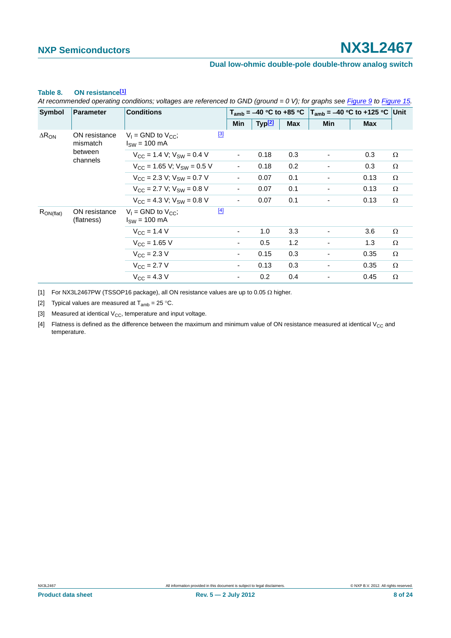#### **Dual low-ohmic double-pole double-throw analog switch**

#### $\Delta R_{ON}$  ON resistance mismatch between channels  $V_1$  = GND to  $V_{CC}$ ;  $I<sub>SW</sub> = 100 mA$ [\[3\]](#page-7-2)  $V_{CC} = 1.4 \text{ V}; V_{SW} = 0.4 \text{ V}$  - 0.18 0.3 - 0.3  $\Omega$  $V_{CC} = 1.65 \text{ V}; V_{SW} = 0.5 \text{ V}$  - 0.18 0.2 - 0.3  $\Omega$  $V_{CC} = 2.3 \text{ V}; V_{SW} = 0.7 \text{ V}$  - 0.07 0.1 - 0.13  $\Omega$  $V_{CC} = 2.7 \text{ V}; V_{SW} = 0.8 \text{ V}$  - 0.07 0.1 - 0.13  $\Omega$  $V_{CC} = 4.3 \text{ V}; V_{SW} = 0.8 \text{ V}$  - 0.07 0.1 - 0.13  $\Omega$ RON(flat) ON resistance (flatness)  $V_1$  = GND to  $V_{CC}$ ;  $I<sub>SW</sub> = 100 mA$ [\[4\]](#page-7-3)  $V_{\text{CC}} = 1.4 \text{ V}$  - 1.0 3.3 - 3.6  $\Omega$  $V_{CC} = 1.65 \text{ V}$  - 0.5 1.2 - 1.3  $\Omega$  $V_{\text{CC}} = 2.3 \text{ V}$  - 0.15 0.3 - 0.35  $\Omega$  $V_{\text{CC}} = 2.7 \text{ V}$  - 0.13 0.3 - 0.35  $\Omega$  $V_{\text{CC}} = 4.3 \text{ V}$  - 0.2 0.4 - 0.45  $\Omega$ **Symbol Parameter Conditions T<sub>amb</sub>** = -40 °C to +85 °C  $T_{amb}$  = -40 °C to +125 °C Unit **Min Typ<sup>[2]</sup> Max** Min Max

#### **Table 8. ON resistance[1]**

*At recommended operating conditions; voltages are referenced to GND (ground = 0 V); for graphs see Figure 9 to Figure 15.*

<span id="page-7-0"></span>[1] For NX3L2467PW (TSSOP16 package), all ON resistance values are up to 0.05  $\Omega$  higher.

<span id="page-7-1"></span>[2] Typical values are measured at  $T_{amb} = 25 \degree C$ .

<span id="page-7-2"></span>[3] Measured at identical  $V_{CC}$ , temperature and input voltage.

<span id="page-7-3"></span>[4] Flatness is defined as the difference between the maximum and minimum value of ON resistance measured at identical  $V_{CC}$  and temperature.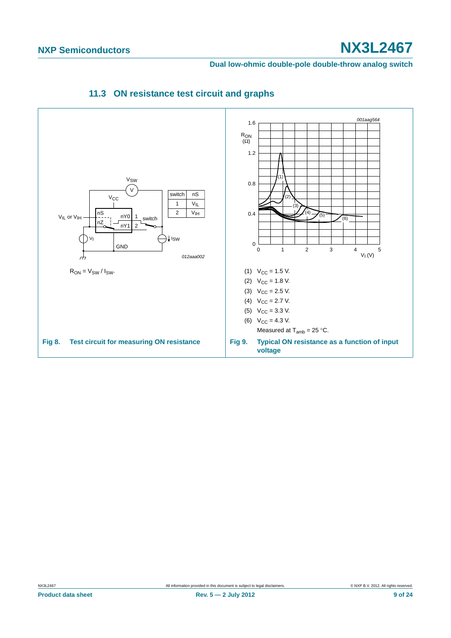<span id="page-8-0"></span>**Dual low-ohmic double-pole double-throw analog switch**

<span id="page-8-2"></span><span id="page-8-1"></span>

### **11.3 ON resistance test circuit and graphs**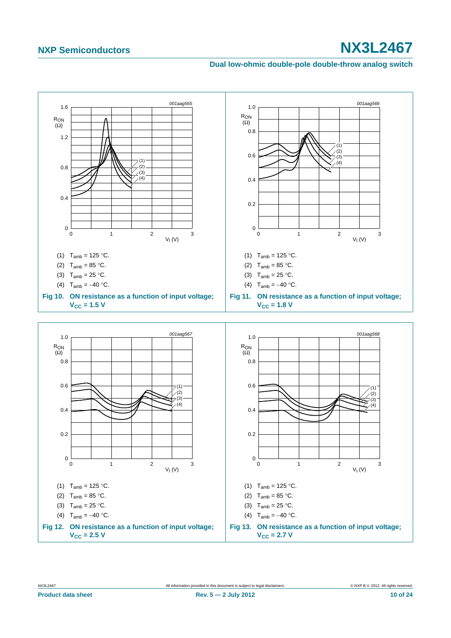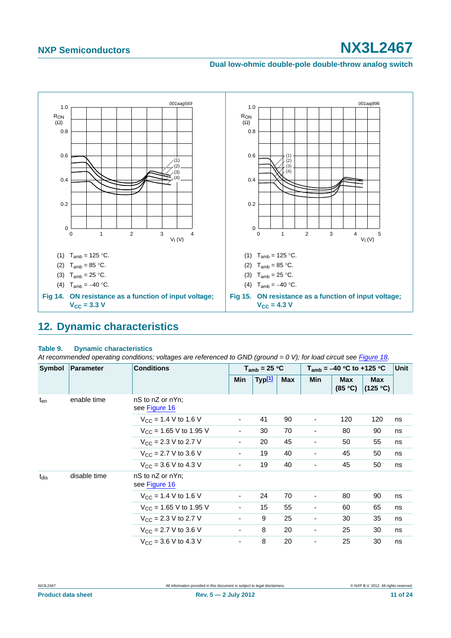### **Dual low-ohmic double-pole double-throw analog switch**



## <span id="page-10-1"></span><span id="page-10-0"></span>**12. Dynamic characteristics**

#### **Table 9. Dynamic characteristics**

At recommended operating conditions; voltages are referenced to GND (ground = 0 V); for load circuit see [Figure 18.](#page-12-0)

| Symbol    | <b>Conditions</b><br>Parameter |                                    |                          | $T_{amb}$ = 25 °C  |            | $T_{amb} = -40 °C$ to +125 °C |                       |                        | <b>Unit</b> |
|-----------|--------------------------------|------------------------------------|--------------------------|--------------------|------------|-------------------------------|-----------------------|------------------------|-------------|
|           |                                |                                    | Min                      | Typ <sup>[1]</sup> | <b>Max</b> | <b>Min</b>                    | <b>Max</b><br>(85 °C) | <b>Max</b><br>(125 °C) |             |
| $t_{en}$  | enable time                    | nS to nZ or nYn;<br>see Figure 16  |                          |                    |            |                               |                       |                        |             |
|           |                                | $V_{CC}$ = 1.4 V to 1.6 V          | $\overline{\phantom{a}}$ | 41                 | 90         | $\overline{\phantom{a}}$      | 120                   | 120                    | ns          |
|           |                                | $V_{\text{CC}}$ = 1.65 V to 1.95 V | $\overline{\phantom{a}}$ | 30                 | 70         | $\overline{\phantom{0}}$      | 80                    | 90                     | ns          |
|           |                                | $V_{CC}$ = 2.3 V to 2.7 V          | ۰                        | 20                 | 45         |                               | 50                    | 55                     | ns          |
|           |                                | $V_{CC}$ = 2.7 V to 3.6 V          | $\overline{\phantom{a}}$ | 19                 | 40         |                               | 45                    | 50                     | ns          |
|           |                                | $V_{CC}$ = 3.6 V to 4.3 V          | $\overline{\phantom{a}}$ | 19                 | 40         |                               | 45                    | 50                     | ns          |
| $t_{dis}$ | disable time                   | nS to nZ or nYn;<br>see Figure 16  |                          |                    |            |                               |                       |                        |             |
|           |                                | $V_{CC}$ = 1.4 V to 1.6 V          | $\overline{\phantom{a}}$ | 24                 | 70         | ٠                             | 80                    | 90                     | ns          |
|           |                                | $V_{CC}$ = 1.65 V to 1.95 V        | $\blacksquare$           | 15                 | 55         | $\overline{\phantom{a}}$      | 60                    | 65                     | ns          |
|           |                                | $V_{\text{CC}}$ = 2.3 V to 2.7 V   | $\overline{\phantom{a}}$ | 9                  | 25         |                               | 30                    | 35                     | ns          |
|           |                                | $V_{CC}$ = 2.7 V to 3.6 V          | ۰.                       | 8                  | 20         | ۰                             | 25                    | 30                     | ns          |
|           |                                | $V_{CC}$ = 3.6 V to 4.3 V          | $\overline{\phantom{a}}$ | 8                  | 20         | ٠                             | 25                    | 30                     | ns          |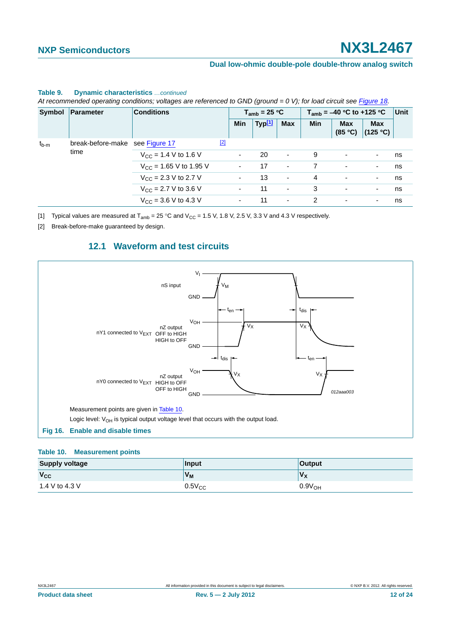|           | Symbol   Parameter                       | <b>Conditions</b>                  |             |                          | $T_{amb}$ = 25 °C        |                          |     | $T_{amb}$ = -40 °C to +125 °C |                          | Unit |
|-----------|------------------------------------------|------------------------------------|-------------|--------------------------|--------------------------|--------------------------|-----|-------------------------------|--------------------------|------|
|           |                                          |                                    |             | <b>Min</b>               | Typ <sup>[1]</sup>       | <b>Max</b>               | Min | <b>Max</b><br>(85 °C)         | <b>Max</b><br>(125 °C)   |      |
| $t_{b-m}$ | break-before-make see Figure 17          |                                    | $\boxed{2}$ |                          |                          |                          |     |                               |                          |      |
|           | time                                     | $V_{\rm CC}$ = 1.4 V to 1.6 V      |             | $\overline{\phantom{0}}$ | 20                       | $\sim$                   | 9   | $\overline{\phantom{a}}$      | $\overline{\phantom{a}}$ | ns   |
|           |                                          | $V_{\text{CC}}$ = 1.65 V to 1.95 V |             | $\overline{\phantom{a}}$ | 17                       | $\overline{\phantom{a}}$ |     | ٠                             | $\overline{\phantom{a}}$ | ns   |
|           |                                          | $V_{\rm CC}$ = 2.3 V to 2.7 V      |             | ۰                        | 13                       | $\overline{\phantom{a}}$ | 4   | ٠                             | $\overline{\phantom{a}}$ | ns   |
|           | $V_{\text{CC}} = 2.7 \text{ V}$ to 3.6 V |                                    |             | 11                       | $\overline{\phantom{a}}$ | 3                        | -   | $\overline{\phantom{a}}$      | ns                       |      |
|           |                                          | $V_{CC}$ = 3.6 V to 4.3 V          |             |                          | 11                       | $\sim$                   | 2   | ٠                             | ٠                        | ns   |

#### **Table 9. Dynamic characteristics** *…continued*

*At recommended operating conditions; voltages are referenced to GND (ground = 0 V); for load circuit see Figure 18.*

<span id="page-11-0"></span>[1] Typical values are measured at  $T_{amb} = 25 \degree C$  and  $V_{CC} = 1.5$  V, 1.8 V, 2.5 V, 3.3 V and 4.3 V respectively.

<span id="page-11-2"></span>[2] Break-before-make guaranteed by design.

### **12.1 Waveform and test circuits**

<span id="page-11-4"></span>

#### <span id="page-11-3"></span><span id="page-11-1"></span>**Table 10. Measurement points**

| <b>Supply voltage</b> | Input          | <b>Output</b>      |
|-----------------------|----------------|--------------------|
| $V_{CC}$              | V <sub>M</sub> | $V_X$              |
| 1.4 V to 4.3 V        | $0.5V_{CC}$    | 0.9V <sub>OH</sub> |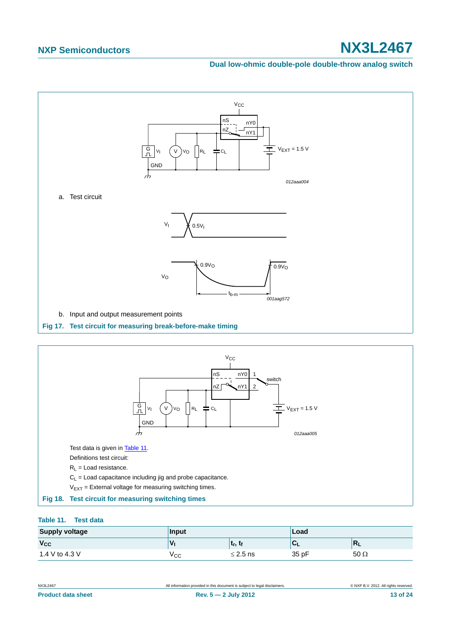#### **Dual low-ohmic double-pole double-throw analog switch**



<span id="page-12-1"></span>

### <span id="page-12-2"></span><span id="page-12-0"></span>**Table 11. Test data**

| <b>Supply voltage</b> | Input |                                   | Load  |             |
|-----------------------|-------|-----------------------------------|-------|-------------|
| $V_{CC}$              | ν     | լ ւ <sub>r</sub> , ւ <sub>f</sub> |       | ш           |
| 1.4 V to 4.3 V        | ∨сс   | $\leq$ 2.5 ns                     | 35 pF | 50 $\Omega$ |

| NX3L2467                  | All information provided in this document is subject to legal disclaimers. | © NXP B.V. 2012. All rights reserved. |
|---------------------------|----------------------------------------------------------------------------|---------------------------------------|
| <b>Product data sheet</b> | Rev. $5 - 2$ July 2012                                                     | 13 of 24                              |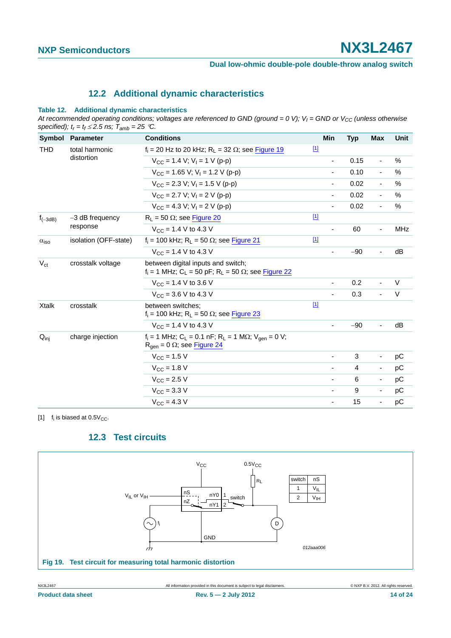### **12.2 Additional dynamic characteristics**

#### <span id="page-13-2"></span>**Table 12. Additional dynamic characteristics**

At recommended operating conditions; voltages are referenced to GND (ground = 0 V);  $V_1$  = GND or  $V_{CC}$  (unless otherwise specified);  $t_r = t_f \le 2.5$  ns;  $\overline{T}_{amb} = 25$  °C.

| Symbol                  | <b>Parameter</b>             | <b>Conditions</b>                                                                                                              | Min                      | <b>Typ</b> | Max                      | Unit       |
|-------------------------|------------------------------|--------------------------------------------------------------------------------------------------------------------------------|--------------------------|------------|--------------------------|------------|
| <b>THD</b>              | total harmonic<br>distortion | $f_i$ = 20 Hz to 20 kHz; R <sub>L</sub> = 32 $\Omega$ ; see Figure 19                                                          | $\boxed{1}$              |            |                          |            |
|                         |                              | $V_{CC}$ = 1.4 V; V <sub>1</sub> = 1 V (p-p)                                                                                   | ä,                       | 0.15       | $\blacksquare$           | $\%$       |
|                         |                              | $V_{CC}$ = 1.65 V; V <sub>1</sub> = 1.2 V (p-p)                                                                                | $\overline{\phantom{a}}$ | 0.10       | $\overline{\phantom{a}}$ | $\%$       |
|                         |                              | $V_{\text{CC}}$ = 2.3 V; V <sub>I</sub> = 1.5 V (p-p)                                                                          |                          | 0.02       | $\overline{\phantom{a}}$ | $\%$       |
|                         |                              | $V_{CC}$ = 2.7 V; V <sub>1</sub> = 2 V (p-p)                                                                                   | ٠                        | 0.02       | $\overline{\phantom{a}}$ | %          |
|                         |                              | $V_{CC} = 4.3 V$ ; $V_1 = 2 V (p-p)$                                                                                           |                          | 0.02       | $\blacksquare$           | $\%$       |
| $f_{(-3dB)}$            | $-3$ dB frequency            | $R_1 = 50 \Omega$ ; see Figure 20                                                                                              | $\boxed{1}$              |            |                          |            |
|                         | response                     | $V_{CC}$ = 1.4 V to 4.3 V                                                                                                      | $\overline{\phantom{a}}$ | 60         | $\overline{\phantom{a}}$ | <b>MHz</b> |
| $\alpha$ <sub>iso</sub> | isolation (OFF-state)        | $f_i = 100$ kHz; R <sub>L</sub> = 50 $\Omega$ ; see Figure 21                                                                  | $\boxed{1}$              |            |                          |            |
|                         |                              | $V_{CC}$ = 1.4 V to 4.3 V                                                                                                      |                          | $-90$      | $\blacksquare$           | dB         |
| $V_{\rm ct}$            | crosstalk voltage            | between digital inputs and switch;<br>$f_i = 1$ MHz; C <sub>1</sub> = 50 pF; R <sub>1</sub> = 50 $\Omega$ ; see Figure 22      |                          |            |                          |            |
|                         |                              | $V_{CC}$ = 1.4 V to 3.6 V                                                                                                      | $\blacksquare$           | 0.2        | $\blacksquare$           | V          |
|                         |                              | $V_{CC}$ = 3.6 V to 4.3 V                                                                                                      |                          | 0.3        | $\overline{a}$           | V          |
| <b>Xtalk</b>            | crosstalk                    | between switches:<br>$f_i$ = 100 kHz; R <sub>L</sub> = 50 $\Omega$ ; see Figure 23                                             | $[1]$                    |            |                          |            |
|                         |                              | $V_{\text{CC}} = 1.4 \text{ V}$ to 4.3 V                                                                                       |                          | $-90$      | $\blacksquare$           | dB         |
| $Q_{\text{inj}}$        | charge injection             | $f_i = 1$ MHz; C <sub>L</sub> = 0.1 nF; R <sub>L</sub> = 1 MΩ; V <sub>gen</sub> = 0 V;<br>$R_{gen} = 0 \Omega$ ; see Figure 24 |                          |            |                          |            |
|                         |                              | $V_{CC}$ = 1.5 V                                                                                                               | ٠                        | 3          | $\overline{\phantom{a}}$ | рC         |
|                         |                              | $V_{\text{CC}} = 1.8 \text{ V}$                                                                                                | ۰                        | 4          | $\overline{\phantom{a}}$ | рC         |
|                         |                              | $V_{\text{CC}} = 2.5 V$                                                                                                        | $\overline{\phantom{a}}$ | 6          | $\blacksquare$           | pC         |
|                         |                              | $V_{\text{CC}} = 3.3 \text{ V}$                                                                                                | $\overline{\phantom{a}}$ | 9          | $\overline{\phantom{a}}$ | рC         |
|                         |                              | $V_{\rm CC} = 4.3 V$                                                                                                           | $\overline{\phantom{a}}$ | 15         | $\overline{\phantom{a}}$ | рC         |

<span id="page-13-1"></span>[1]  $f_i$  is biased at  $0.5V_{CC}$ .

### **12.3 Test circuits**

<span id="page-13-3"></span><span id="page-13-0"></span>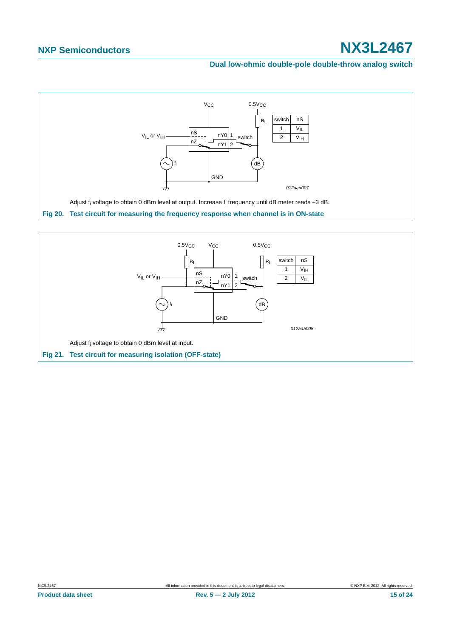

<span id="page-14-1"></span><span id="page-14-0"></span>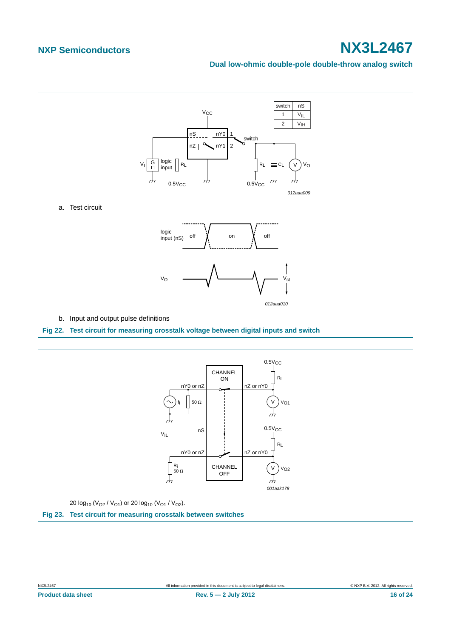

<span id="page-15-0"></span>

<span id="page-15-1"></span>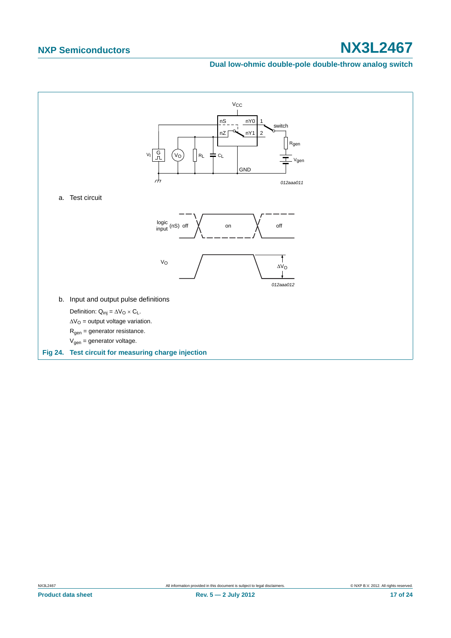<span id="page-16-0"></span>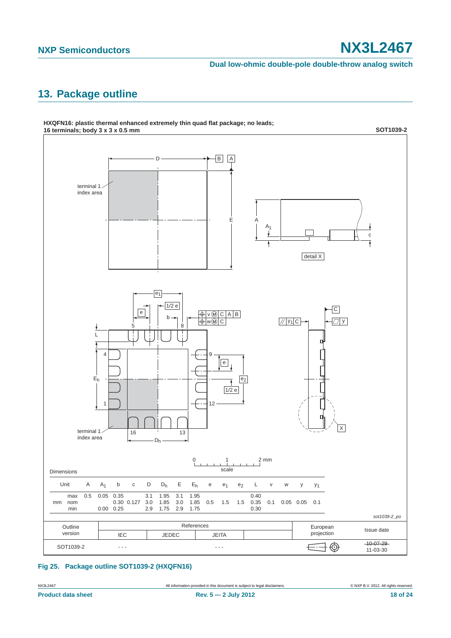**Dual low-ohmic double-pole double-throw analog switch**

# <span id="page-17-0"></span>**13. Package outline**



### **Fig 25. Package outline SOT1039-2 (HXQFN16)**

NX3L2467 All information provided in this document is subject to legal disclaimers. © NXP B.V. 2012. All rights reserved.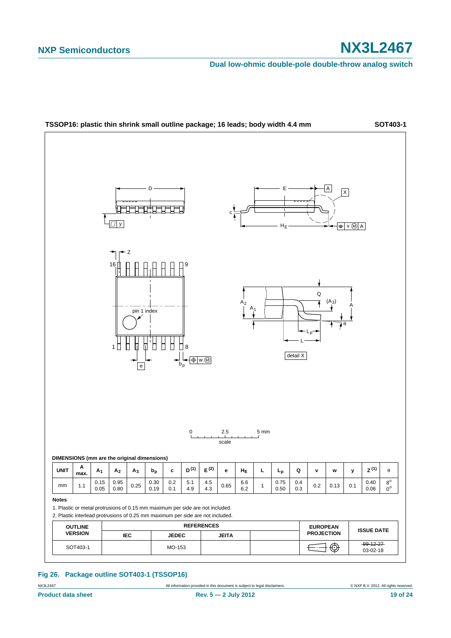**Dual low-ohmic double-pole double-throw analog switch**



#### **Fig 26. Package outline SOT403-1 (TSSOP16)**

NX3L2467 **All information provided in this document is subject to legal disclaimers.** © NXP B.V. 2012. All rights reserved.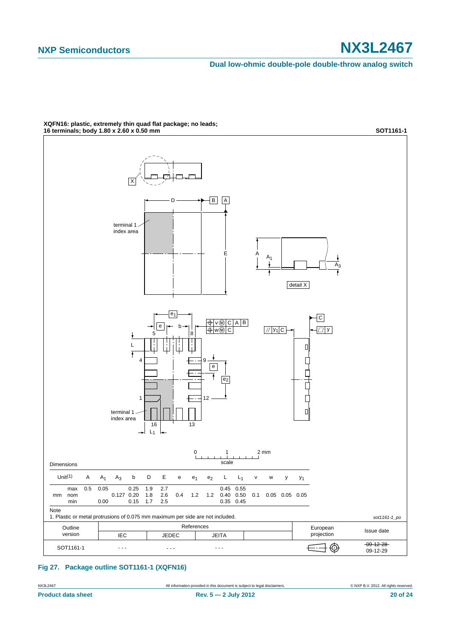**Dual low-ohmic double-pole double-throw analog switch**



**XQFN16: plastic, extremely thin quad flat package; no leads;**

#### **Fig 27. Package outline SOT1161-1 (XQFN16)**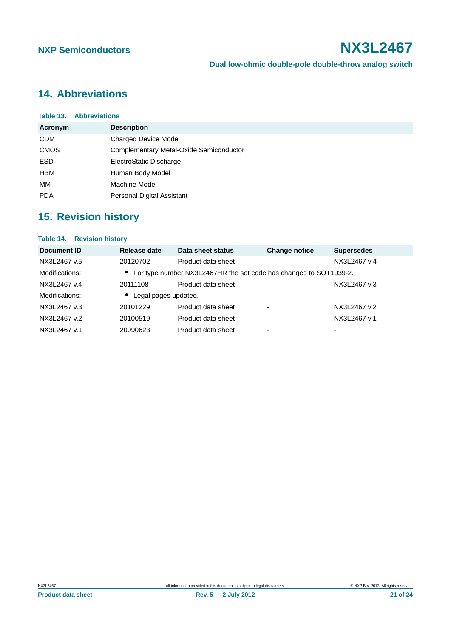# <span id="page-20-0"></span>**14. Abbreviations**

|             | <b>Table 13. Abbreviations</b>          |
|-------------|-----------------------------------------|
| Acronym     | <b>Description</b>                      |
| <b>CDM</b>  | <b>Charged Device Model</b>             |
| <b>CMOS</b> | Complementary Metal-Oxide Semiconductor |
| <b>ESD</b>  | ElectroStatic Discharge                 |
| <b>HBM</b>  | Human Body Model                        |
| МM          | Machine Model                           |
| <b>PDA</b>  | Personal Digital Assistant              |
|             |                                         |

# <span id="page-20-1"></span>**15. Revision history**

| <b>Table 14. Revision history</b> |                      |                                                                     |                          |                   |  |
|-----------------------------------|----------------------|---------------------------------------------------------------------|--------------------------|-------------------|--|
| Document ID                       | Release date         | Data sheet status                                                   | <b>Change notice</b>     | <b>Supersedes</b> |  |
| NX3L2467 v.5                      | 20120702             | Product data sheet                                                  | ۰                        | NX3L2467 v.4      |  |
| Modifications:                    |                      | • For type number NX3L2467HR the sot code has changed to SOT1039-2. |                          |                   |  |
| NX3L2467 v.4                      | 20111108             | Product data sheet                                                  | $\overline{\phantom{0}}$ | NX3L2467 v.3      |  |
| Modifications:                    | Legal pages updated. |                                                                     |                          |                   |  |
| NX3L2467 v.3                      | 20101229             | Product data sheet                                                  | $\overline{\phantom{0}}$ | NX3L2467 v.2      |  |
| NX3L2467 v.2                      | 20100519             | Product data sheet                                                  |                          | NX3L2467 v.1      |  |
| NX3L2467 v.1                      | 20090623             | Product data sheet                                                  | $\overline{\phantom{0}}$ | -                 |  |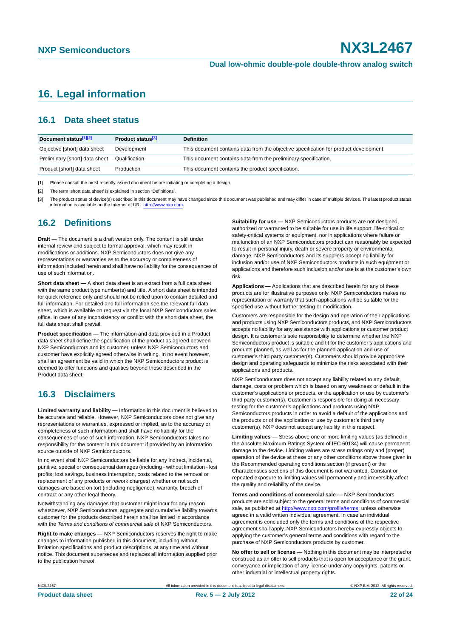# <span id="page-21-0"></span>**16. Legal information**

### <span id="page-21-1"></span>**16.1 Data sheet status**

| Document status[1][2]          | <b>Product status</b> <sup>[3]</sup> | <b>Definition</b>                                                                     |
|--------------------------------|--------------------------------------|---------------------------------------------------------------------------------------|
| Objective [short] data sheet   | Development                          | This document contains data from the objective specification for product development. |
| Preliminary [short] data sheet | Qualification                        | This document contains data from the preliminary specification.                       |
| Product [short] data sheet     | Production                           | This document contains the product specification.                                     |

[1] Please consult the most recently issued document before initiating or completing a design.

[2] The term 'short data sheet' is explained in section "Definitions".

[3] The product status of device(s) described in this document may have changed since this document was published and may differ in case of multiple devices. The latest product status<br>information is available on the Intern

### <span id="page-21-2"></span>**16.2 Definitions**

**Draft —** The document is a draft version only. The content is still under internal review and subject to formal approval, which may result in modifications or additions. NXP Semiconductors does not give any representations or warranties as to the accuracy or completeness of information included herein and shall have no liability for the consequences of use of such information.

**Short data sheet —** A short data sheet is an extract from a full data sheet with the same product type number(s) and title. A short data sheet is intended for quick reference only and should not be relied upon to contain detailed and full information. For detailed and full information see the relevant full data sheet, which is available on request via the local NXP Semiconductors sales office. In case of any inconsistency or conflict with the short data sheet, the full data sheet shall prevail.

**Product specification —** The information and data provided in a Product data sheet shall define the specification of the product as agreed between NXP Semiconductors and its customer, unless NXP Semiconductors and customer have explicitly agreed otherwise in writing. In no event however, shall an agreement be valid in which the NXP Semiconductors product is deemed to offer functions and qualities beyond those described in the Product data sheet.

### <span id="page-21-3"></span>**16.3 Disclaimers**

**Limited warranty and liability —** Information in this document is believed to be accurate and reliable. However, NXP Semiconductors does not give any representations or warranties, expressed or implied, as to the accuracy or completeness of such information and shall have no liability for the consequences of use of such information. NXP Semiconductors takes no responsibility for the content in this document if provided by an information source outside of NXP Semiconductors.

In no event shall NXP Semiconductors be liable for any indirect, incidental, punitive, special or consequential damages (including - without limitation - lost profits, lost savings, business interruption, costs related to the removal or replacement of any products or rework charges) whether or not such damages are based on tort (including negligence), warranty, breach of contract or any other legal theory.

Notwithstanding any damages that customer might incur for any reason whatsoever, NXP Semiconductors' aggregate and cumulative liability towards customer for the products described herein shall be limited in accordance with the *Terms and conditions of commercial sale* of NXP Semiconductors.

**Right to make changes —** NXP Semiconductors reserves the right to make changes to information published in this document, including without limitation specifications and product descriptions, at any time and without notice. This document supersedes and replaces all information supplied prior to the publication hereof.

**Suitability for use —** NXP Semiconductors products are not designed, authorized or warranted to be suitable for use in life support, life-critical or safety-critical systems or equipment, nor in applications where failure or malfunction of an NXP Semiconductors product can reasonably be expected to result in personal injury, death or severe property or environmental damage. NXP Semiconductors and its suppliers accept no liability for inclusion and/or use of NXP Semiconductors products in such equipment or applications and therefore such inclusion and/or use is at the customer's own risk.

**Applications —** Applications that are described herein for any of these products are for illustrative purposes only. NXP Semiconductors makes no representation or warranty that such applications will be suitable for the specified use without further testing or modification.

Customers are responsible for the design and operation of their applications and products using NXP Semiconductors products, and NXP Semiconductors accepts no liability for any assistance with applications or customer product design. It is customer's sole responsibility to determine whether the NXP Semiconductors product is suitable and fit for the customer's applications and products planned, as well as for the planned application and use of customer's third party customer(s). Customers should provide appropriate design and operating safeguards to minimize the risks associated with their applications and products.

NXP Semiconductors does not accept any liability related to any default. damage, costs or problem which is based on any weakness or default in the customer's applications or products, or the application or use by customer's third party customer(s). Customer is responsible for doing all necessary testing for the customer's applications and products using NXP Semiconductors products in order to avoid a default of the applications and the products or of the application or use by customer's third party customer(s). NXP does not accept any liability in this respect.

**Limiting values —** Stress above one or more limiting values (as defined in the Absolute Maximum Ratings System of IEC 60134) will cause permanent damage to the device. Limiting values are stress ratings only and (proper) operation of the device at these or any other conditions above those given in the Recommended operating conditions section (if present) or the Characteristics sections of this document is not warranted. Constant or repeated exposure to limiting values will permanently and irreversibly affect the quality and reliability of the device.

**Terms and conditions of commercial sale —** NXP Semiconductors products are sold subject to the general terms and conditions of commercial sale, as published at<http://www.nxp.com/profile/terms>, unless otherwise agreed in a valid written individual agreement. In case an individual agreement is concluded only the terms and conditions of the respective agreement shall apply. NXP Semiconductors hereby expressly objects to applying the customer's general terms and conditions with regard to the purchase of NXP Semiconductors products by customer.

**No offer to sell or license —** Nothing in this document may be interpreted or construed as an offer to sell products that is open for acceptance or the grant, conveyance or implication of any license under any copyrights, patents or other industrial or intellectual property rights.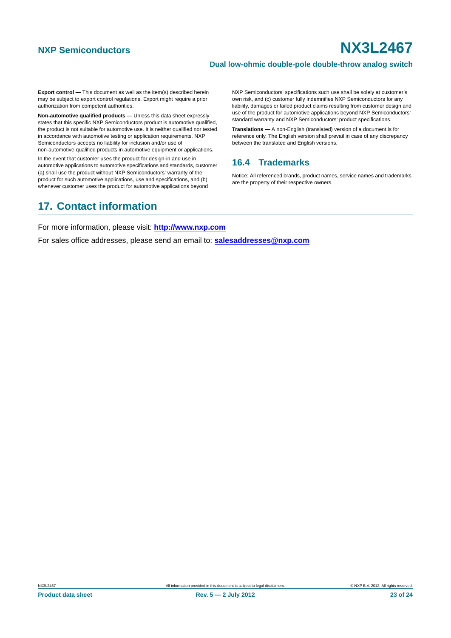#### **Dual low-ohmic double-pole double-throw analog switch**

**Export control —** This document as well as the item(s) described herein may be subject to export control regulations. Export might require a prior authorization from competent authorities.

**Non-automotive qualified products —** Unless this data sheet expressly states that this specific NXP Semiconductors product is automotive qualified, the product is not suitable for automotive use. It is neither qualified nor tested in accordance with automotive testing or application requirements. NXP Semiconductors accepts no liability for inclusion and/or use of non-automotive qualified products in automotive equipment or applications.

In the event that customer uses the product for design-in and use in automotive applications to automotive specifications and standards, customer (a) shall use the product without NXP Semiconductors' warranty of the product for such automotive applications, use and specifications, and (b) whenever customer uses the product for automotive applications beyond

#### NXP Semiconductors' specifications such use shall be solely at customer's own risk, and (c) customer fully indemnifies NXP Semiconductors for any liability, damages or failed product claims resulting from customer design and use of the product for automotive applications beyond NXP Semiconductors' standard warranty and NXP Semiconductors' product specifications.

**Translations —** A non-English (translated) version of a document is for reference only. The English version shall prevail in case of any discrepancy between the translated and English versions.

### <span id="page-22-0"></span>**16.4 Trademarks**

Notice: All referenced brands, product names, service names and trademarks are the property of their respective owners.

# <span id="page-22-1"></span>**17. Contact information**

For more information, please visit: **http://www.nxp.com**

For sales office addresses, please send an email to: **salesaddresses@nxp.com**